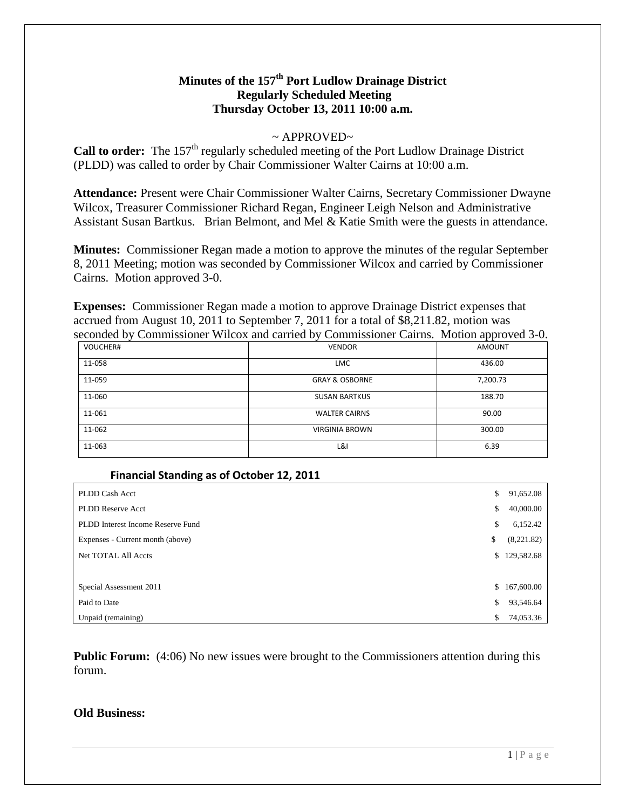# **Minutes of the 157th Port Ludlow Drainage District Regularly Scheduled Meeting Thursday October 13, 2011 10:00 a.m.**

# $\sim$  APPROVED $\sim$

**Call to order:** The 157<sup>th</sup> regularly scheduled meeting of the Port Ludlow Drainage District (PLDD) was called to order by Chair Commissioner Walter Cairns at 10:00 a.m.

**Attendance:** Present were Chair Commissioner Walter Cairns, Secretary Commissioner Dwayne Wilcox, Treasurer Commissioner Richard Regan, Engineer Leigh Nelson and Administrative Assistant Susan Bartkus. Brian Belmont, and Mel & Katie Smith were the guests in attendance.

**Minutes:** Commissioner Regan made a motion to approve the minutes of the regular September 8, 2011 Meeting; motion was seconded by Commissioner Wilcox and carried by Commissioner Cairns. Motion approved 3-0.

**Expenses:** Commissioner Regan made a motion to approve Drainage District expenses that accrued from August 10, 2011 to September 7, 2011 for a total of \$8,211.82, motion was seconded by Commissioner Wilcox and carried by Commissioner Cairns. Motion approved 3-0.

|          |                           | . .           |
|----------|---------------------------|---------------|
| VOUCHER# | <b>VENDOR</b>             | <b>AMOUNT</b> |
| 11-058   | <b>LMC</b>                | 436.00        |
| 11-059   | <b>GRAY &amp; OSBORNE</b> | 7,200.73      |
| 11-060   | <b>SUSAN BARTKUS</b>      | 188.70        |
| 11-061   | <b>WALTER CAIRNS</b>      | 90.00         |
| 11-062   | <b>VIRGINIA BROWN</b>     | 300.00        |
| 11-063   | L&I                       | 6.39          |

#### **Financial Standing as of October 12, 2011**

| PLDD Cash Acct                    | \$ | 91,652.08  |
|-----------------------------------|----|------------|
| <b>PLDD Reserve Acct</b>          | \$ | 40,000.00  |
| PLDD Interest Income Reserve Fund | \$ | 6,152.42   |
| Expenses - Current month (above)  | \$ | (8,221.82) |
| <b>Net TOTAL All Accts</b>        | S. | 129,582.68 |
|                                   |    |            |
| Special Assessment 2011           | \$ | 167,600.00 |
| Paid to Date                      | \$ | 93,546.64  |
| Unpaid (remaining)                | \$ | 74,053.36  |

**Public Forum:** (4:06) No new issues were brought to the Commissioners attention during this forum.

# **Old Business:**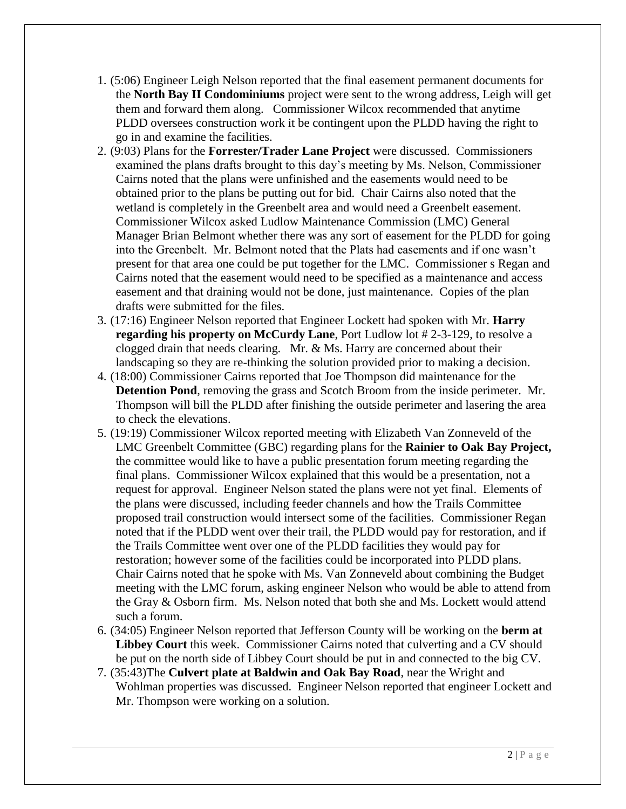- 1. (5:06) Engineer Leigh Nelson reported that the final easement permanent documents for the **North Bay II Condominiums** project were sent to the wrong address, Leigh will get them and forward them along. Commissioner Wilcox recommended that anytime PLDD oversees construction work it be contingent upon the PLDD having the right to go in and examine the facilities.
- 2. (9:03) Plans for the **Forrester/Trader Lane Project** were discussed. Commissioners examined the plans drafts brought to this day's meeting by Ms. Nelson, Commissioner Cairns noted that the plans were unfinished and the easements would need to be obtained prior to the plans be putting out for bid. Chair Cairns also noted that the wetland is completely in the Greenbelt area and would need a Greenbelt easement. Commissioner Wilcox asked Ludlow Maintenance Commission (LMC) General Manager Brian Belmont whether there was any sort of easement for the PLDD for going into the Greenbelt. Mr. Belmont noted that the Plats had easements and if one wasn't present for that area one could be put together for the LMC. Commissioner s Regan and Cairns noted that the easement would need to be specified as a maintenance and access easement and that draining would not be done, just maintenance. Copies of the plan drafts were submitted for the files.
- 3. (17:16) Engineer Nelson reported that Engineer Lockett had spoken with Mr. **Harry regarding his property on McCurdy Lane**, Port Ludlow lot # 2-3-129, to resolve a clogged drain that needs clearing. Mr. & Ms. Harry are concerned about their landscaping so they are re-thinking the solution provided prior to making a decision.
- 4. (18:00) Commissioner Cairns reported that Joe Thompson did maintenance for the **Detention Pond**, removing the grass and Scotch Broom from the inside perimeter. Mr. Thompson will bill the PLDD after finishing the outside perimeter and lasering the area to check the elevations.
- 5. (19:19) Commissioner Wilcox reported meeting with Elizabeth Van Zonneveld of the LMC Greenbelt Committee (GBC) regarding plans for the **Rainier to Oak Bay Project,**  the committee would like to have a public presentation forum meeting regarding the final plans. Commissioner Wilcox explained that this would be a presentation, not a request for approval. Engineer Nelson stated the plans were not yet final. Elements of the plans were discussed, including feeder channels and how the Trails Committee proposed trail construction would intersect some of the facilities. Commissioner Regan noted that if the PLDD went over their trail, the PLDD would pay for restoration, and if the Trails Committee went over one of the PLDD facilities they would pay for restoration; however some of the facilities could be incorporated into PLDD plans. Chair Cairns noted that he spoke with Ms. Van Zonneveld about combining the Budget meeting with the LMC forum, asking engineer Nelson who would be able to attend from the Gray & Osborn firm. Ms. Nelson noted that both she and Ms. Lockett would attend such a forum.
- 6. (34:05) Engineer Nelson reported that Jefferson County will be working on the **berm at Libbey Court** this week. Commissioner Cairns noted that culverting and a CV should be put on the north side of Libbey Court should be put in and connected to the big CV.
- 7. (35:43)The **Culvert plate at Baldwin and Oak Bay Road**, near the Wright and Wohlman properties was discussed. Engineer Nelson reported that engineer Lockett and Mr. Thompson were working on a solution.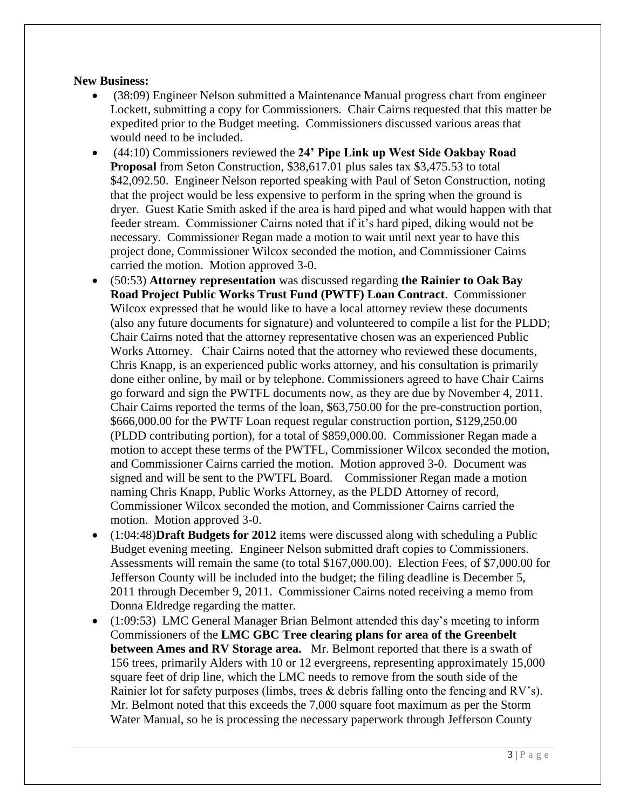# **New Business:**

- (38:09) Engineer Nelson submitted a Maintenance Manual progress chart from engineer Lockett, submitting a copy for Commissioners. Chair Cairns requested that this matter be expedited prior to the Budget meeting. Commissioners discussed various areas that would need to be included.
- (44:10) Commissioners reviewed the **24' Pipe Link up West Side Oakbay Road Proposal** from Seton Construction, \$38,617.01 plus sales tax \$3,475.53 to total \$42,092.50. Engineer Nelson reported speaking with Paul of Seton Construction, noting that the project would be less expensive to perform in the spring when the ground is dryer. Guest Katie Smith asked if the area is hard piped and what would happen with that feeder stream. Commissioner Cairns noted that if it's hard piped, diking would not be necessary. Commissioner Regan made a motion to wait until next year to have this project done, Commissioner Wilcox seconded the motion, and Commissioner Cairns carried the motion. Motion approved 3-0.
- (50:53) **Attorney representation** was discussed regarding **the Rainier to Oak Bay Road Project Public Works Trust Fund (PWTF) Loan Contract**. Commissioner Wilcox expressed that he would like to have a local attorney review these documents (also any future documents for signature) and volunteered to compile a list for the PLDD; Chair Cairns noted that the attorney representative chosen was an experienced Public Works Attorney. Chair Cairns noted that the attorney who reviewed these documents, Chris Knapp, is an experienced public works attorney, and his consultation is primarily done either online, by mail or by telephone. Commissioners agreed to have Chair Cairns go forward and sign the PWTFL documents now, as they are due by November 4, 2011. Chair Cairns reported the terms of the loan, \$63,750.00 for the pre-construction portion, \$666,000.00 for the PWTF Loan request regular construction portion, \$129,250.00 (PLDD contributing portion), for a total of \$859,000.00. Commissioner Regan made a motion to accept these terms of the PWTFL, Commissioner Wilcox seconded the motion, and Commissioner Cairns carried the motion. Motion approved 3-0. Document was signed and will be sent to the PWTFL Board. Commissioner Regan made a motion naming Chris Knapp, Public Works Attorney, as the PLDD Attorney of record, Commissioner Wilcox seconded the motion, and Commissioner Cairns carried the motion. Motion approved 3-0.
- (1:04:48)**Draft Budgets for 2012** items were discussed along with scheduling a Public Budget evening meeting. Engineer Nelson submitted draft copies to Commissioners. Assessments will remain the same (to total \$167,000.00). Election Fees, of \$7,000.00 for Jefferson County will be included into the budget; the filing deadline is December 5, 2011 through December 9, 2011. Commissioner Cairns noted receiving a memo from Donna Eldredge regarding the matter.
- (1:09:53) LMC General Manager Brian Belmont attended this day's meeting to inform Commissioners of the **LMC GBC Tree clearing plans for area of the Greenbelt between Ames and RV Storage area.** Mr. Belmont reported that there is a swath of 156 trees, primarily Alders with 10 or 12 evergreens, representing approximately 15,000 square feet of drip line, which the LMC needs to remove from the south side of the Rainier lot for safety purposes (limbs, trees & debris falling onto the fencing and RV's). Mr. Belmont noted that this exceeds the 7,000 square foot maximum as per the Storm Water Manual, so he is processing the necessary paperwork through Jefferson County